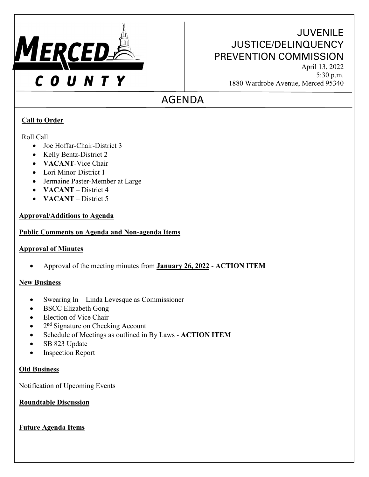

# **JUVENILE** JUSTICE/DELINQUENCY PREVENTION COMMISSION

April 13, 2022 5:30 p.m. 1880 Wardrobe Avenue, Merced 95340

# AGENDA

# **Call to Order**

### Roll Call

- Joe Hoffar-Chair-District 3
- Kelly Bentz-District 2
- **VACANT**-Vice Chair
- Lori Minor-District 1
- Jermaine Paster-Member at Large
- **VACANT** District 4
- **VACANT** District 5

#### **Approval/Additions to Agenda**

### **Public Comments on Agenda and Non-agenda Items**

#### **Approval of Minutes**

• Approval of the meeting minutes from **January 26, 2022** - **ACTION ITEM**

## **New Business**

- Swearing In Linda Levesque as Commissioner
- BSCC Elizabeth Gong
- Election of Vice Chair
- $\bullet$  2<sup>nd</sup> Signature on Checking Account
- Schedule of Meetings as outlined in By Laws **ACTION ITEM**
- SB 823 Update
- Inspection Report

#### **Old Business**

Notification of Upcoming Events

**Roundtable Discussion**

#### **Future Agenda Items**